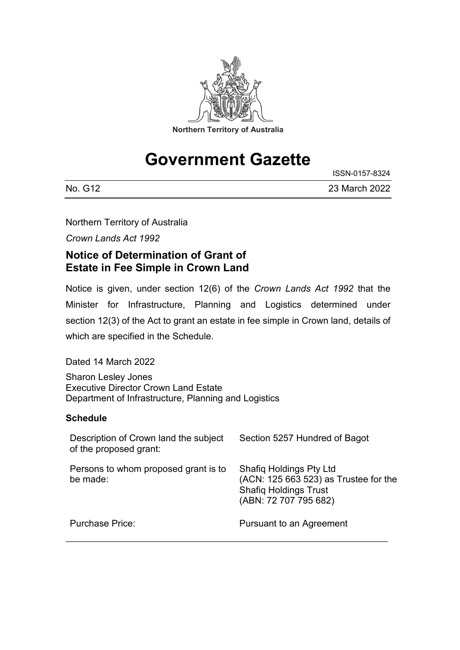

# **Government Gazette**

ISSN-0157-8324

| No. G12 | 23 March 2022 |
|---------|---------------|

Northern Territory of Australia

*Crown Lands Act 1992*

## **Notice of Determination of Grant of Estate in Fee Simple in Crown Land**

Notice is given, under section 12(6) of the *Crown Lands Act 1992* that the Minister for Infrastructure, Planning and Logistics determined under section 12(3) of the Act to grant an estate in fee simple in Crown land, details of which are specified in the Schedule.

Dated 14 March 2022

Sharon Lesley Jones Executive Director Crown Land Estate Department of Infrastructure, Planning and Logistics

### **Schedule**

| Description of Crown land the subject<br>of the proposed grant: | Section 5257 Hundred of Bagot                                                                                                    |
|-----------------------------------------------------------------|----------------------------------------------------------------------------------------------------------------------------------|
| Persons to whom proposed grant is to<br>be made:                | <b>Shafiq Holdings Pty Ltd</b><br>(ACN: 125 663 523) as Trustee for the<br><b>Shafiq Holdings Trust</b><br>(ABN: 72 707 795 682) |
| Purchase Price:                                                 | Pursuant to an Agreement                                                                                                         |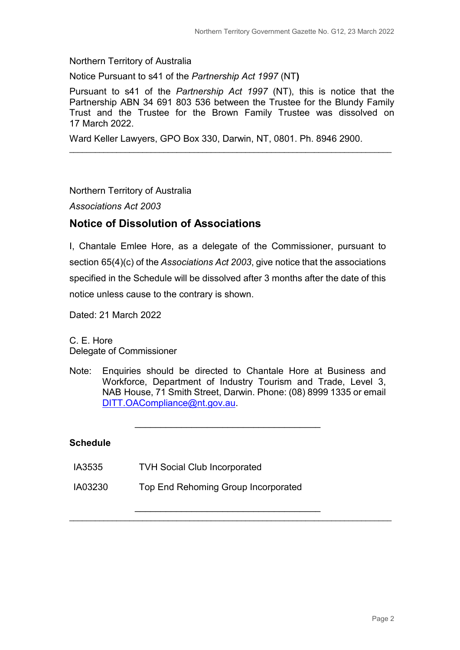Northern Territory of Australia

Notice Pursuant to s41 of the *Partnership Act 1997* (NT**)**

Pursuant to s41 of the *Partnership Act 1997* (NT), this is notice that the Partnership ABN 34 691 803 536 between the Trustee for the Blundy Family Trust and the Trustee for the Brown Family Trustee was dissolved on 17 March 2022.

\_\_\_\_\_\_\_\_\_\_\_\_\_\_\_\_\_\_\_\_\_\_\_\_\_\_\_\_\_\_\_\_\_\_\_\_\_\_\_\_\_\_\_\_\_\_\_\_\_\_\_\_\_\_\_\_\_\_\_\_\_\_\_\_\_\_\_\_\_\_\_\_\_\_\_

Ward Keller Lawyers, GPO Box 330, Darwin, NT, 0801. Ph. 8946 2900.

#### Northern Territory of Australia

*Associations Act 2003*

## **Notice of Dissolution of Associations**

I, Chantale Emlee Hore, as a delegate of the Commissioner, pursuant to section 65(4)(c) of the *Associations Act 2003*, give notice that the associations specified in the Schedule will be dissolved after 3 months after the date of this notice unless cause to the contrary is shown.

Dated: 21 March 2022

C. E. Hore Delegate of Commissioner

Note: Enquiries should be directed to Chantale Hore at Business and Workforce, Department of Industry Tourism and Trade, Level 3, NAB House, 71 Smith Street, Darwin. Phone: (08) 8999 1335 or email [DITT.OACompliance@nt.gov.au.](mailto:D)

\_\_\_\_\_\_\_\_\_\_\_\_\_\_\_\_\_\_\_\_\_\_\_\_\_\_\_\_\_\_\_\_\_\_\_\_

\_\_\_\_\_\_\_\_\_\_\_\_\_\_\_\_\_\_\_\_\_\_\_\_\_\_\_\_\_\_\_\_\_\_\_\_ \_\_\_\_\_\_\_\_\_\_\_\_\_\_\_\_\_\_\_\_\_\_\_\_\_\_\_\_\_\_\_\_\_\_\_\_\_\_\_\_\_\_\_\_\_\_\_\_\_\_\_\_\_\_\_\_\_\_\_\_\_\_\_\_\_\_\_\_\_\_\_\_\_\_\_

#### **Schedule**

- IA3535 TVH Social Club Incorporated
- IA03230 Top End Rehoming Group Incorporated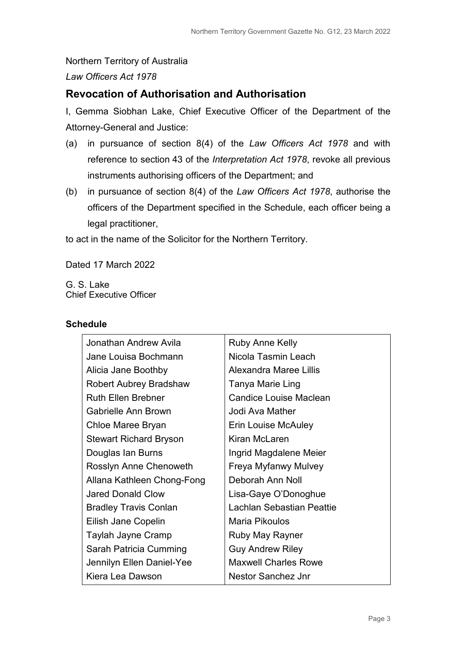#### Northern Territory of Australia

*Law Officers Act 1978*

## **Revocation of Authorisation and Authorisation**

I, Gemma Siobhan Lake, Chief Executive Officer of the Department of the Attorney-General and Justice:

- (a) in pursuance of section 8(4) of the *Law Officers Act 1978* and with reference to section 43 of the *Interpretation Act 1978*, revoke all previous instruments authorising officers of the Department; and
- (b) in pursuance of section 8(4) of the *Law Officers Act 1978*, authorise the officers of the Department specified in the Schedule, each officer being a legal practitioner,

to act in the name of the Solicitor for the Northern Territory.

Dated 17 March 2022

G. S. Lake Chief Executive Officer

#### **Schedule**

| Jonathan Andrew Avila         | <b>Ruby Anne Kelly</b>      |
|-------------------------------|-----------------------------|
| Jane Louisa Bochmann          | Nicola Tasmin Leach         |
| Alicia Jane Boothby           | Alexandra Maree Lillis      |
| <b>Robert Aubrey Bradshaw</b> | Tanya Marie Ling            |
| <b>Ruth Ellen Brebner</b>     | Candice Louise Maclean      |
| Gabrielle Ann Brown           | Jodi Ava Mather             |
| Chloe Maree Bryan             | Erin Louise McAuley         |
| <b>Stewart Richard Bryson</b> | Kiran McLaren               |
| Douglas Ian Burns             | Ingrid Magdalene Meier      |
| Rosslyn Anne Chenoweth        | Freya Myfanwy Mulvey        |
| Allana Kathleen Chong-Fong    | Deborah Ann Noll            |
| <b>Jared Donald Clow</b>      | Lisa-Gaye O'Donoghue        |
| <b>Bradley Travis Conlan</b>  | Lachlan Sebastian Peattie   |
| Eilish Jane Copelin           | Maria Pikoulos              |
| Taylah Jayne Cramp            | <b>Ruby May Rayner</b>      |
| Sarah Patricia Cumming        | <b>Guy Andrew Riley</b>     |
| Jennilyn Ellen Daniel-Yee     | <b>Maxwell Charles Rowe</b> |
| Kiera Lea Dawson              | Nestor Sanchez Jnr          |
|                               |                             |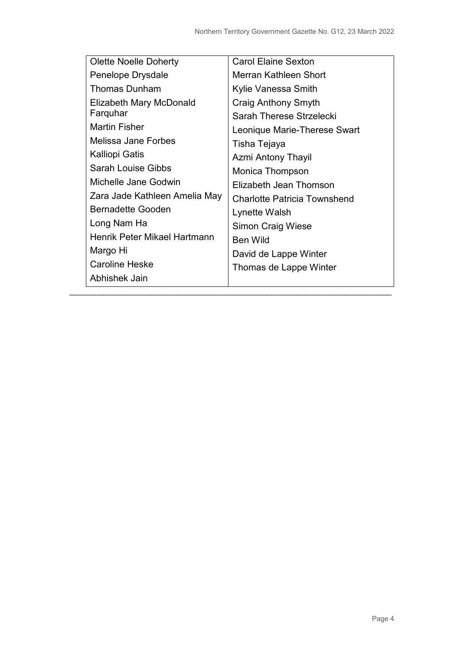| <b>Olette Noelle Doherty</b>  | <b>Carol Elaine Sexton</b>          |
|-------------------------------|-------------------------------------|
| Penelope Drysdale             | Merran Kathleen Short               |
| <b>Thomas Dunham</b>          | Kylie Vanessa Smith                 |
| Elizabeth Mary McDonald       | Craig Anthony Smyth                 |
| Farquhar                      | Sarah Therese Strzelecki            |
| <b>Martin Fisher</b>          | Leonique Marie-Therese Swart        |
| Melissa Jane Forbes           | Tisha Tejaya                        |
| Kalliopi Gatis                | <b>Azmi Antony Thayil</b>           |
| <b>Sarah Louise Gibbs</b>     | Monica Thompson                     |
| Michelle Jane Godwin          | Elizabeth Jean Thomson              |
| Zara Jade Kathleen Amelia May | <b>Charlotte Patricia Townshend</b> |
| <b>Bernadette Gooden</b>      | Lynette Walsh                       |
| Long Nam Ha                   | <b>Simon Craig Wiese</b>            |
| Henrik Peter Mikael Hartmann  | <b>Ben Wild</b>                     |
| Margo Hi                      | David de Lappe Winter               |
| <b>Caroline Heske</b>         | Thomas de Lappe Winter              |
| Abhishek Jain                 |                                     |

\_\_\_\_\_\_\_\_\_\_\_\_\_\_\_\_\_\_\_\_\_\_\_\_\_\_\_\_\_\_\_\_\_\_\_\_\_\_\_\_\_\_\_\_\_\_\_\_\_\_\_\_\_\_\_\_\_\_\_\_\_\_\_\_\_\_\_\_\_\_\_\_\_\_\_